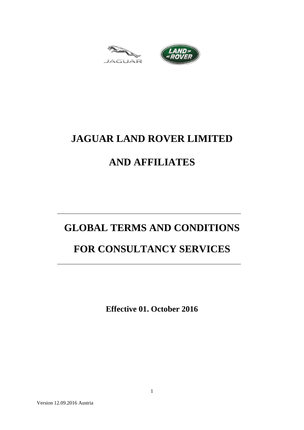



# **JAGUAR LAND ROVER LIMITED**

# **AND AFFILIATES**

# **GLOBAL TERMS AND CONDITIONS**

# **FOR CONSULTANCY SERVICES**

**Effective 01. October 2016**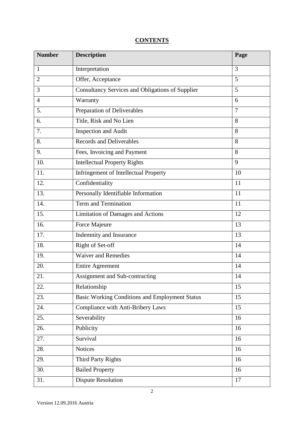# **CONTENTS**

| <b>Number</b>     | <b>Description</b>                                      | Page           |
|-------------------|---------------------------------------------------------|----------------|
| 1                 | Interpretation                                          | 3              |
| $\overline{2}$    | Offer, Acceptance                                       | 5              |
| 3                 | <b>Consultancy Services and Obligations of Supplier</b> | 5              |
| $\overline{4}$    | Warranty                                                | 6              |
| 5.                | Preparation of Deliverables                             | $\overline{7}$ |
| 6.                | Title, Risk and No Lien                                 | 8              |
| 7.                | <b>Inspection and Audit</b>                             | 8              |
| 8.                | <b>Records and Deliverables</b>                         | 8              |
| 9.                | Fees, Invoicing and Payment                             | 8              |
| 10.               | <b>Intellectual Property Rights</b>                     | 9              |
| 11.               | <b>Infringement of Intellectual Property</b>            | 10             |
| 12.               | Confidentiality                                         | 11             |
| 13.               | Personally Identifiable Information                     | 11             |
| 14.               | <b>Term and Termination</b>                             | 11             |
| 15.               | <b>Limitation of Damages and Actions</b>                | 12             |
| 16.               | Force Majeure                                           | 13             |
| $\overline{17}$ . | Indemnity and Insurance                                 | 13             |
| 18.               | Right of Set-off                                        | 14             |
| 19.               | <b>Waiver and Remedies</b>                              | 14             |
| 20.               | <b>Entire Agreement</b>                                 | 14             |
| 21.               | Assignment and Sub-contracting                          | 14             |
| 22.               | Relationship                                            | 15             |
| 23.               | <b>Basic Working Conditions and Employment Status</b>   | 15             |
| 24.               | Compliance with Anti-Bribery Laws                       | 15             |
| 25.               | Severability                                            | 16             |
| 26.               | Publicity                                               | 16             |
| 27.               | Survival                                                | 16             |
| 28.               | Notices                                                 | 16             |
| 29.               | <b>Third Party Rights</b>                               | 16             |
| 30.               | <b>Bailed Property</b>                                  | 16             |
| 31.               | <b>Dispute Resolution</b>                               | 17             |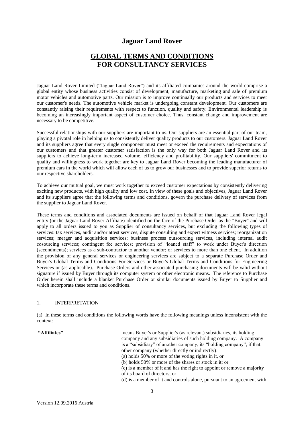# **Jaguar Land Rover**

# **GLOBAL TERMS AND CONDITIONS FOR CONSULTANCY SERVICES**

Jaguar Land Rover Limited ("Jaguar Land Rover") and its affiliated companies around the world comprise a global entity whose business activities consist of development, manufacture, marketing and sale of premium motor vehicles and automotive parts. Our mission is to improve continually our products and services to meet our customer's needs. The automotive vehicle market is undergoing constant development. Our customers are constantly raising their requirements with respect to function, quality and safety. Environmental leadership is becoming an increasingly important aspect of customer choice. Thus, constant change and improvement are necessary to be competitive.

Successful relationships with our suppliers are important to us. Our suppliers are an essential part of our team, playing a pivotal role in helping us to consistently deliver quality products to our customers. Jaguar Land Rover and its suppliers agree that every single component must meet or exceed the requirements and expectations of our customers and that greater customer satisfaction is the only way for both Jaguar Land Rover and its suppliers to achieve long-term increased volume, efficiency and profitability. Our suppliers' commitment to quality and willingness to work together are key to Jaguar Land Rover becoming the leading manufacturer of premium cars in the world which will allow each of us to grow our businesses and to provide superior returns to our respective shareholders.

To achieve our mutual goal, we must work together to exceed customer expectations by consistently delivering exciting new products, with high quality and low cost. In view of these goals and objectives, Jaguar Land Rover and its suppliers agree that the following terms and conditions, govern the purchase delivery of services from the supplier to Jaguar Land Rover.

These terms and conditions and associated documents are issued on behalf of that Jaguar Land Rover legal entity (or the Jaguar Land Rover Affiliate) identified on the face of the Purchase Order as the "Buyer" and will apply to all orders issued to you as Supplier of consultancy services, but excluding the following types of services: tax services, audit and/or attest services, dispute consulting and expert witness services; reorganization services; merger and acquisition services; business process outsourcing services, including internal audit cosourcing services; contingent fee services; provision of "loaned staff" to work under Buyer's direction (secondments); services as a sub-contractor to another vendor; or services to more than one client. In addition the provision of any general services or engineering services are subject to a separate Purchase Order and Buyer's Global Terms and Conditions For Services or Buyer's Global Terms and Conditions for Engineering Services or (as applicable). Purchase Orders and other associated purchasing documents will be valid without signature if issued by Buyer through its computer system or other electronic means. The reference to Purchase Order herein shall include a blanket Purchase Order or similar documents issued by Buyer to Supplier and which incorporate these terms and conditions.

#### 1. INTERPRETATION

(a) In these terms and conditions the following words have the following meanings unless inconsistent with the context:

**"Affiliates"** means Buyer's or Supplier's (as relevant) subsidiaries, its holding company and any subsidiaries of such holding company. A company is a "subsidiary" of another company, its "holding company", if that other company (whether directly or indirectly): (a) holds 50% or more of the voting rights in it, or (b) holds 50% or more of the shares or stock in it; or

(c) is a member of it and has the right to appoint or remove a majority of its board of directors; or

(d) is a member of it and controls alone, pursuant to an agreement with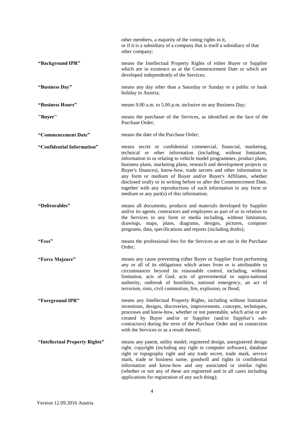|                                | other members, a majority of the voting rights in it,<br>or if it is a subsidiary of a company that is itself a subsidiary of that<br>other company;                                                                                                                                                                                                                                                                                                                                                                                                                                                                         |
|--------------------------------|------------------------------------------------------------------------------------------------------------------------------------------------------------------------------------------------------------------------------------------------------------------------------------------------------------------------------------------------------------------------------------------------------------------------------------------------------------------------------------------------------------------------------------------------------------------------------------------------------------------------------|
| "Background IPR"               | means the Intellectual Property Rights of either Buyer or Supplier<br>which are in existence as at the Commencement Date or which are<br>developed independently of the Services;                                                                                                                                                                                                                                                                                                                                                                                                                                            |
| "Business Day"                 | means any day other than a Saturday or Sunday or a public or bank<br>holiday in Austria;                                                                                                                                                                                                                                                                                                                                                                                                                                                                                                                                     |
| "Business Hours"               | means 9.00 a.m. to 5.00 p.m. inclusive on any Business Day;                                                                                                                                                                                                                                                                                                                                                                                                                                                                                                                                                                  |
| "Buyer"                        | means the purchaser of the Services, as identified on the face of the<br>Purchase Order;                                                                                                                                                                                                                                                                                                                                                                                                                                                                                                                                     |
| "Commencement Date"            | means the date of the Purchase Order;                                                                                                                                                                                                                                                                                                                                                                                                                                                                                                                                                                                        |
| "Confidential Information"     | means secret or confidential commercial, financial, marketing,<br>technical or other information (including, without limitation,<br>information in or relating to vehicle model programmes, product plans,<br>business plans, marketing plans, research and development projects or<br>Buyer's finances), know-how, trade secrets and other information in<br>any form or medium of Buyer and/or Buyer's Affiliates, whether<br>disclosed orally or in writing before or after the Commencement Date,<br>together with any reproductions of such information in any form or<br>medium or any part $(s)$ of this information; |
| "Deliverables"                 | means all documents, products and materials developed by Supplier<br>and/or its agents, contractors and employees as part of or in relation to<br>the Services in any form or media including, without limitation,<br>drawings, maps, plans, diagrams, designs, pictures, computer<br>programs, data, specifications and reports (including drafts);                                                                                                                                                                                                                                                                         |
| "Fees"                         | means the professional fees for the Services as set out in the Purchase<br>Order;                                                                                                                                                                                                                                                                                                                                                                                                                                                                                                                                            |
| "Force Majeure"                | means any cause preventing either Buyer or Supplier from performing<br>any or all of its obligations which arises from or is attributable to<br>circumstances beyond its reasonable control, including, without<br>limitation, acts of God, acts of governmental or supra-national<br>authority, outbreak of hostilities, national emergency, an act of<br>terrorism, riots, civil commotion, fire, explosion, or flood;                                                                                                                                                                                                     |
| "Foreground IPR"               | means any Intellectual Property Rights, including without limitation<br>inventions, designs, discoveries, improvements, concepts, techniques,<br>processes and know-how, whether or not patentable, which arise or are<br>created by Buyer and/or or Supplier (and/or Supplier's sub-<br>contractors) during the term of the Purchase Order and in connection<br>with the Services or as a result thereof;                                                                                                                                                                                                                   |
| "Intellectual Property Rights" | means any patent, utility model, registered design, unregistered design<br>right, copyright (including any right in computer software), database<br>right or topography right and any trade secret, trade mark, service<br>mark, trade or business name, goodwill and rights in confidential<br>information and know-how and any associated or similar rights<br>(whether or not any of these are registered and in all cases including<br>applications for registration of any such thing);                                                                                                                                 |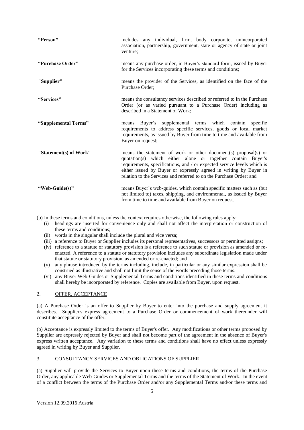| "Person"               | includes any individual, firm, body corporate, unincorporated<br>association, partnership, government, state or agency of state or joint<br>venture;                                                                                                                                                                                                  |
|------------------------|-------------------------------------------------------------------------------------------------------------------------------------------------------------------------------------------------------------------------------------------------------------------------------------------------------------------------------------------------------|
| "Purchase Order"       | means any purchase order, in Buyer's standard form, issued by Buyer<br>for the Services incorporating these terms and conditions;                                                                                                                                                                                                                     |
| "Supplier"             | means the provider of the Services, as identified on the face of the<br>Purchase Order;                                                                                                                                                                                                                                                               |
| "Services"             | means the consultancy services described or referred to in the Purchase<br>Order (or as varied pursuant to a Purchase Order) including as<br>described in a Statement of Work;                                                                                                                                                                        |
| "Supplemental Terms"   | means Buyer's supplemental terms which contain specific<br>requirements to address specific services, goods or local market<br>requirements, as issued by Buyer from time to time and available from<br>Buyer on request;                                                                                                                             |
| "Statement(s) of Work" | means the statement of work or other document(s) proposal(s) or<br>quotation(s) which either alone or together contain Buyer's<br>requirements, specifications, and / or expected service levels which is<br>either issued by Buyer or expressly agreed in writing by Buyer in<br>relation to the Services and referred to on the Purchase Order; and |
| "Web-Guide(s)"         | means Buyer's web-guides, which contain specific matters such as (but<br>not limited to) taxes, shipping, and environmental, as issued by Buyer<br>from time to time and available from Buyer on request.                                                                                                                                             |

(b) In these terms and conditions, unless the context requires otherwise, the following rules apply:

- (i) headings are inserted for convenience only and shall not affect the interpretation or construction of these terms and conditions;
- (ii) words in the singular shall include the plural and vice versa;
- (iii) a reference to Buyer or Supplier includes its personal representatives, successors or permitted assigns;
- (iv) reference to a statute or statutory provision is a reference to such statute or provision as amended or reenacted. A reference to a statute or statutory provision includes any subordinate legislation made under that statute or statutory provision, as amended or re-enacted; and
- (v) any phrase introduced by the terms including, include, in particular or any similar expression shall be construed as illustrative and shall not limit the sense of the words preceding those terms.
- (vi) any Buyer Web-Guides or Supplemental Terms and conditions identified in these terms and conditions shall hereby be incorporated by reference. Copies are available from Buyer, upon request.

### 2. OFFER, ACCEPTANCE

(a) A Purchase Order is an offer to Supplier by Buyer to enter into the purchase and supply agreement it describes. Supplier's express agreement to a Purchase Order or commencement of work thereunder will constitute acceptance of the offer.

(b) Acceptance is expressly limited to the terms of Buyer's offer. Any modifications or other terms proposed by Supplier are expressly rejected by Buyer and shall not become part of the agreement in the absence of Buyer's express written acceptance. Any variation to these terms and conditions shall have no effect unless expressly agreed in writing by Buyer and Supplier.

### 3. CONSULTANCY SERVICES AND OBLIGATIONS OF SUPPLIER

(a) Supplier will provide the Services to Buyer upon these terms and conditions, the terms of the Purchase Order, any applicable Web-Guides or Supplemental Terms and the terms of the Statement of Work. In the event of a conflict between the terms of the Purchase Order and/or any Supplemental Terms and/or these terms and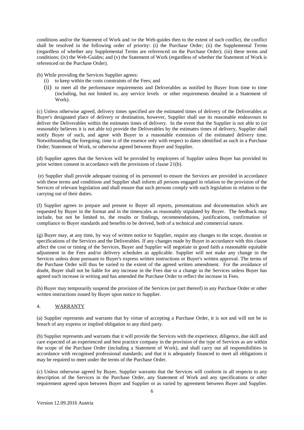conditions and/or the Statement of Work and /or the Web-guides then to the extent of such conflict, the conflict shall be resolved in the following order of priority: (i) the Purchase Order; (ii) the Supplemental Terms (regardless of whether any Supplemental Terms are referenced on the Purchase Order); (iii) these terms and conditions; (iv) the Web-Guides; and (v) the Statement of Work (regardless of whether the Statement of Work is referenced on the Purchase Order).

(b) While providing the Services Supplier agrees:

- (i) to keep within the costs constraints of the Fees; and
- (ii) to meet all the performance requirements and Deliverables as notified by Buyer from time to time (including, but not limited to, any service levels or other requirements detailed in a Statement of Work).

(c) Unless otherwise agreed, delivery times specified are the estimated times of delivery of the Deliverables at Buyer's designated place of delivery or destination, however, Supplier shall use its reasonable endeavours to deliver the Deliverables within the estimates times of delivery. In the event that the Supplier is not able to (or reasonably believes it is not able to) provide the Deliverables by the estimates times of delivery, Supplier shall notify Buyer of such, and agree with Buyer to a reasonable extension of the estimated delivery time. Notwithstanding the foregoing, time is of the essence only with respect to dates identified as such in a Purchase Order; Statement of Work, or otherwise agreed between Buyer and Supplier.

(d) Supplier agrees that the Services will be provided by employees of Supplier unless Buyer has provided its prior written consent in accordance with the provisions of clause 21(b).

(e) Supplier shall provide adequate training of its personnel to ensure the Services are provided in accordance with these terms and conditions and Supplier shall inform all persons engaged in relation to the provision of the Services of relevant legislation and shall ensure that such persons comply with such legislation in relation to the carrying out of their duties.

(f) Supplier agrees to prepare and present to Buyer all reports, presentations and documentation which are requested by Buyer in the format and in the timescales as reasonably stipulated by Buyer. The feedback may include, but not be limited to, the results or findings, recommendations, justifications, confirmation of compliance to Buyer standards and benefits to be derived, both of a technical and commercial nature.

(g) Buyer may, at any time, by way of written notice to Supplier, require any changes to the scope, duration or specifications of the Services and the Deliverables. If any changes made by Buyer in accordance with this clause affect the cost or timing of the Services, Buyer and Supplier will negotiate in good faith a reasonable equitable adjustment in the Fees and/or delivery schedules as applicable. Supplier will not make any change in the Services unless done pursuant to Buyer's express written instructions or Buyer's written approval. The terms of the Purchase Order will thus be varied to the extent of the agreed written amendment. For the avoidance of doubt, Buyer shall not be liable for any increase in the Fees due to a change in the Services unless Buyer has agreed such increase in writing and has amended the Purchase Order to reflect the increase in Fees.

(h) Buyer may temporarily suspend the provision of the Services (or part thereof) in any Purchase Order or other written instructions issued by Buyer upon notice to Supplier.

#### 4. WARRANTY

(a) Supplier represents and warrants that by virtue of accepting a Purchase Order, it is not and will not be in breach of any express or implied obligation to any third party.

(b) Supplier represents and warrants that it will provide the Services with the experience, diligence, due skill and care expected of an experienced and best practice company in the provision of the type of Services as are within the scope of the Purchase Order (including a Statement of Work), and shall carry out all responsibilities in accordance with recognised professional standards; and that it is adequately financed to meet all obligations it may be required to meet under the terms of the Purchase Order.

(c) Unless otherwise agreed by Buyer, Supplier warrants that the Services will conform in all respects to any description of the Services in the Purchase Order, any Statement of Work and any specifications or other requirement agreed upon between Buyer and Supplier or as varied by agreement between Buyer and Supplier.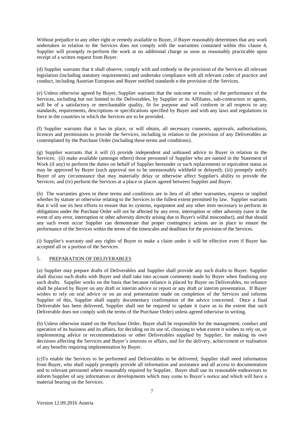Without prejudice to any other right or remedy available to Buyer, if Buyer reasonably determines that any work undertaken in relation to the Services does not comply with the warranties contained within this clause 4, Supplier will promptly re-perform the work at no additional charge as soon as reasonably practicable upon receipt of a written request from Buyer.

(d) Supplier warrants that it shall observe, comply with and embody in the provision of the Services all relevant legislation (including statutory requirements) and undertake compliance with all relevant codes of practice and conduct, including Austrian European and Buyer notified standards n the provision of the Services*.*

(e) Unless otherwise agreed by Buyer, Supplier warrants that the outcome or results of the performance of the Services, including but not limited to the Deliverables, by Supplier or its Affiliates, sub-contractors or agents, will be of a satisfactory or merchantable quality, fit for purpose and will conform in all respects to any standards, requirements, descriptions or specifications specified by Buyer and with any laws and regulations in force in the countries in which the Services are to be provided.

(f) Supplier warrants that it has in place, or will obtain, all necessary consents, approvals, authorisations, licences and permissions to provide the Services, including in relation to the provision of any Deliverables as contemplated by the Purchase Order (including these terms and conditions).

(g) Supplier warrants that it will (i) provide independent and unbiased advice to Buyer in relation to the Services; (ii) make available (amongst others) those personnel of Supplier who are named in the Statement of Work (if any) to perform the duties on behalf of Supplier hereunder or such replacements or equivalent status as may be approved by Buyer (such approval not to be unreasonably withheld or delayed); (iii) promptly notify Buyer of any circumstance that may materially delay or otherwise affect Supplier's ability to provide the Services; and (iv) perform the Services at a place or places agreed between Supplier and Buyer.

(h) The warranties given in these terms and conditions are in lieu of all other warranties, express or implied whether by statute or otherwise relating to the Services to the fullest extent permitted by law. Supplier warrants that it will use its best efforts to ensure that its systems, equipment and any other item necessary to perform its obligations under the Purchase Order will not be affected by any error, interruption or other adversity (save in the event of any error, interruption or other adversity directly arising due to Buyer's wilful misconduct), and that should any such event occur Supplier can demonstrate that proper contingency actions are in place to ensure the performance of the Services within the terms of the timescales and deadlines for the provision of the Services.

(i) Supplier's warranty and any rights of Buyer to make a claim under it will be effective even if Buyer has accepted all or a portion of the Services.

#### 5. PREPARATION OF DELIVERABLES

(a) Supplier may prepare drafts of Deliverables and Supplier shall provide any such drafts to Buyer. Supplier shall discuss such drafts with Buyer and shall take into account comments made by Buyer when finalising any such drafts. Supplier works on the basis that because reliance is placed by Buyer on Deliverables, no reliance shall be placed by Buyer on any draft or interim advice or report or any draft or interim presentation. If Buyer wishes to rely on oral advice or on an oral presentation made on completion of the Services and informs Supplier of this, Supplier shall supply documentary confirmation of the advice concerned. Once a final Deliverable has been delivered, Supplier shall not be required to update it (save as to the extent that such Deliverable does not comply with the terms of the Purchase Order) unless agreed otherwise in writing.

(b) Unless otherwise stated on the Purchase Order, Buyer shall be responsible for the management, conduct and operation of its business and its affairs, for deciding on its use of, choosing to what extent it wishes to rely on, or implementing advice or recommendations or other Deliverables supplied by Supplier, for making its own decisions affecting the Services and Buyer's interests or affairs, and for the delivery, achievement or realisation of any benefits requiring implementation by Buyer.

(c)To enable the Services to be performed and Deliverables to be delivered, Supplier shall need information from Buyer, who shall supply promptly provide all information and assistance and all access to documentation and to relevant personnel where reasonably required by Supplier. Buyer shall use its reasonable endeavours to inform Supplier of any information or developments which may come to Buyer's notice and which will have a material bearing on the Services.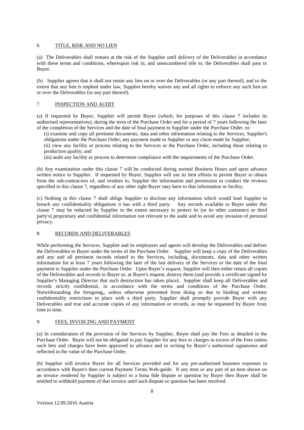#### 6. TITLE, RISK AND NO LIEN

(a) The Deliverables shall remain at the risk of the Supplier until delivery of the Deliverables in accordance with these terms and conditions, whereupon risk in, and unencumbered title to, the Deliverables shall pass to Buyer.

(b) Supplier agrees that it shall not retain any lien on or over the Deliverables (or any part thereof), and to the extent that any lien is implied under law, Supplier hereby waives any and all rights to enforce any such lien on or over the Deliverables (or any part thereof).

#### 7. INSPECTION AND AUDIT

(a) If requested by Buyer, Supplier will permit Buyer (which, for purposes of this clause 7 includes its authorised representatives), during the term of the Purchase Order and for a period of 7 years following the later of the completion of the Services and the date of final payment to Supplier under the Purchase Order, to:

(i) examine and copy all pertinent documents, data and other information relating to the Services, Supplier's obligations under the Purchase Order, any payment made to Supplier or any claim made by Supplier;

(ii) view any facility or process relating to the Services or the Purchase Order, including those relating to production quality; and

(iii) audit any facility or process to determine compliance with the requirements of the Purchase Order.

(b) Any examination under this clause 7 will be conducted during normal Business Hours and upon advance written notice to Supplier. If requested by Buyer, Supplier will use its best efforts to permit Buyer to obtain from the sub-contractors of, and vendors to, Supplier the information and permission to conduct the reviews specified in this clause 7, regardless of any other right Buyer may have to that information or facility.

(c) Nothing in this clause 7 shall oblige Supplier to disclose any information which would lead Supplier to breach any confidentiality obligations it has with a third party. Any records available to Buyer under this clause 7 may be redacted by Supplier to the extent necessary to protect its (or its other customers or third party's) proprietary and confidential information not relevant to the audit and to avoid any invasion of personal privacy.

#### 8. RECORDS AND DELIVERABLES

While performing the Services, Supplier and its employees and agents will develop the Deliverables and deliver the Deliverables to Buyer under the terms of the Purchase Order. Supplier will keep a copy of the Deliverables and any and all pertinent records related to the Services, including, documents, data and other written information for at least 7 years following the later of the last delivery of the Services or the date of the final payment to Supplier under the Purchase Order. Upon Buyer's request, Supplier will then either return all copies of the Deliverables and records to Buyer or, at Buyer's request, destroy them (and provide a certificate signed by Supplier's Managing Director that such destruction has taken place). Supplier shall keep all Deliverables and records strictly confidential, in accordance with the terms and conditions of the Purchase Order. Notwithstanding the foregoing,, unless otherwise prevented from doing so due to binding and written confidentiality restrictions in place with a third party, Supplier shall promptly provide Buyer with any Deliverables and true and accurate copies of any information or records, as may be requested by Buyer from time to time.

### 9. FEES, INVOICING AND PAYMENT

(a) In consideration of the provision of the Services by Supplier, Buyer shall pay the Fees as detailed in the Purchase Order. Buyer will not be obligated to pay Supplier for any fees or charges in excess of the Fees unless such fees and charges have been approved in advance and in writing by Buyer's authorised signatories and reflected in the value of the Purchase Order.

(b) Supplier will invoice Buyer for all Services provided and for any pre-authorised business expenses in accordance with Buyer's then current Payment Terms Web-guide. If any item or any part of an item shown on an invoice rendered by Supplier is subject to a bona fide dispute or question by Buyer then Buyer shall be entitled to withhold payment of that invoice until such dispute or question has been resolved.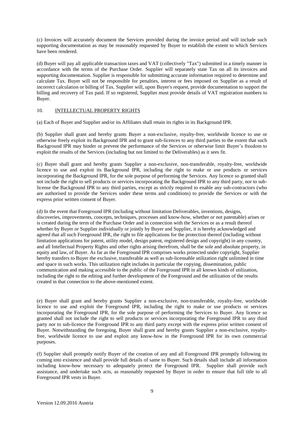(c) Invoices will accurately document the Services provided during the invoice period and will include such supporting documentation as may be reasonably requested by Buyer to establish the extent to which Services have been rendered.

(d) Buyer will pay all applicable transaction taxes and VAT (collectively "Tax") submitted in a timely manner in accordance with the terms of the Purchase Order. Supplier will separately state Tax on all its invoices and supporting documentation. Supplier is responsible for submitting accurate information required to determine and calculate Tax. Buyer will not be responsible for penalties, interest or fees imposed on Supplier as a result of incorrect calculation or billing of Tax. Supplier will, upon Buyer's request, provide documentation to support the billing and recovery of Tax paid. If so registered, Supplier must provide details of VAT registration numbers to Buyer.

#### 10. INTELLECTUAL PROPERTY RIGHTS

(a) Each of Buyer and Supplier and/or its Affiliates shall retain its rights in its Background IPR.

(b) Supplier shall grant and hereby grants Buyer a non-exclusive, royalty-free, worldwide licence to use or otherwise freely exploit its Background IPR and to grant sub-licences to any third parties to the extent that such Background IPR may hinder or prevent the performance of the Services or otherwise limit Buyer's freedom to exploit the results of the Services (including but not limited to the Deliverables) as it sees fit.

(c) Buyer shall grant and hereby grants Supplier a non-exclusive, non-transferable, royalty-free, worldwide licence to use and exploit its Background IPR, including the right to make or use products or services incorporating the Background IPR, for the sole purpose of performing the Services. Any licence so granted shall not include the right to sell products or services incorporating the Background IPR to any third party, nor to sublicense the Background IPR to any third parties, except as strictly required to enable any sub-contractors (who are authorised to provide the Services under these terms and conditions) to provide the Services or with the express prior written consent of Buyer.

(d) In the event that Foreground IPR (including without limitation Deliverables, inventions, designs, discoveries, improvements, concepts, techniques, processes and know-how, whether or not patentable) arises or is created during the term of the Purchase Order and in connection with the Services or as a result thereof whether by Buyer or Supplier individually or jointly by Buyer and Supplier, it is hereby acknowledged and agreed that all such Foreground IPR, the right to file applications for the protection thereof (including without limitation applications for patent, utility model, design patent, registered design and copyright) in any country, and all Intellectual Property Rights and other rights arising therefrom, shall be the sole and absolute property, in equity and law, of Buyer. As far as the Foreground IPR comprises works protected under copyright, Supplier hereby transfers to Buyer the exclusive, transferable as well as sub-licensable utilization right unlimited in time and space in such works. This utilization right includes in particular the copying, dissemination, public communication and making accessible to the public of the Foreground IPR in all known kinds of utilization, including the right to the editing and further development of the Foreground and the utilization of the results created in that connection to the above-mentioned extent.

(e) Buyer shall grant and hereby grants Supplier a non-exclusive, non-transferable, royalty-free, worldwide licence to use and exploit the Foreground IPR, including the right to make or use products or services incorporating the Foreground IPR, for the sole purpose of performing the Services to Buyer. Any licence so granted shall not include the right to sell products or services incorporating the Foreground IPR to any third party nor to sub-licence the Foreground IPR to any third party except with the express prior written consent of Buyer. Notwithstanding the foregoing, Buyer shall grant and hereby grants Supplier a non-exclusive, royaltyfree, worldwide licence to use and exploit any know-how in the Foreground IPR for its own commercial purposes.

(f) Supplier shall promptly notify Buyer of the creation of any and all Foreground IPR promptly following its coming into existence and shall provide full details of same to Buyer. Such details shall include all information including know-how necessary to adequately protect the Foreground IPR. Supplier shall provide such assistance, and undertake such acts, as reasonably requested by Buyer in order to ensure that full title to all Foreground IPR vests in Buyer.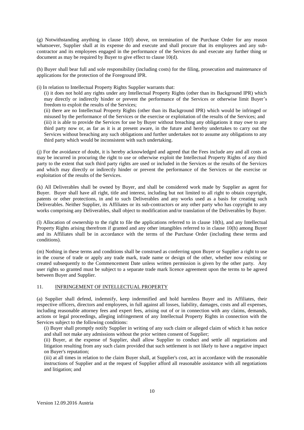(g) Notwithstanding anything in clause 10(f) above, on termination of the Purchase Order for any reason whatsoever, Supplier shall at its expense do and execute and shall procure that its employees and any subcontractor and its employees engaged in the performance of the Services do and execute any further thing or document as may be required by Buyer to give effect to clause 10(d).

(h) Buyer shall bear full and sole responsibility (including costs) for the filing, prosecution and maintenance of applications for the protection of the Foreground IPR.

(i) In relation to Intellectual Property Rights Supplier warrants that:

(i) it does not hold any rights under any Intellectual Property Rights (other than its Background IPR) which may directly or indirectly hinder or prevent the performance of the Services or otherwise limit Buyer's freedom to exploit the results of the Services;

(ii) there are no Intellectual Property Rights (other than its Background IPR) which would be infringed or misused by the performance of the Services or the exercise or exploitation of the results of the Services; and (iii) it is able to provide the Services for use by Buyer without breaching any obligations it may owe to any third party now or, as far as it is at present aware, in the future and hereby undertakes to carry out the Services without breaching any such obligations and further undertakes not to assume any obligations to any third party which would be inconsistent with such undertaking.

(j) For the avoidance of doubt, it is hereby acknowledged and agreed that the Fees include any and all costs as may be incurred in procuring the right to use or otherwise exploit the Intellectual Property Rights of any third party to the extent that such third party rights are used or included in the Services or the results of the Services and which may directly or indirectly hinder or prevent the performance of the Services or the exercise or exploitation of the results of the Services.

(k) All Deliverables shall be owned by Buyer, and shall be considered work made by Supplier as agent for Buyer. Buyer shall have all right, title and interest, including but not limited to all right to obtain copyright, patents or other protections, in and to such Deliverables and any works used as a basis for creating such Deliverables. Neither Supplier, its Affiliates or its sub-contractors or any other party who has copyright to any works comprising any Deliverables, shall object to modification and/or translation of the Deliverables by Buyer.

(l) Allocation of ownership to the right to file the applications referred to in clause 10(h), and any Intellectual Property Rights arising therefrom if granted and any other intangibles referred to in clause 10(h) among Buyer and its Affiliates shall be in accordance with the terms of the Purchase Order (including these terms and conditions)*.*

(m) Nothing in these terms and conditions shall be construed as conferring upon Buyer or Supplier a right to use in the course of trade or apply any trade mark, trade name or design of the other, whether now existing or created subsequently to the Commencement Date unless written permission is given by the other party. Any user rights so granted must be subject to a separate trade mark licence agreement upon the terms to be agreed between Buyer and Supplier.

#### 11. INFRINGEMENT OF INTELLECTUAL PROPERTY

(a) Supplier shall defend, indemnify, keep indemnified and hold harmless Buyer and its Affiliates, their respective officers, directors and employees, in full against all losses, liability, damages, costs and all expenses, including reasonable attorney fees and expert fees, arising out of or in connection with any claims, demands, actions or legal proceedings, alleging infringement of any Intellectual Property Rights in connection with the Services subject to the following conditions:

(i) Buyer shall promptly notify Supplier in writing of any such claim or alleged claim of which it has notice and shall not make any admissions without the prior written consent of Supplier;

(ii) Buyer, at the expense of Supplier, shall allow Supplier to conduct and settle all negotiations and litigation resulting from any such claim provided that such settlement is not likely to have a negative impact on Buyer's reputation;

(iii) at all times in relation to the claim Buyer shall, at Supplier's cost, act in accordance with the reasonable instructions of Supplier and at the request of Supplier afford all reasonable assistance with all negotiations and litigation; and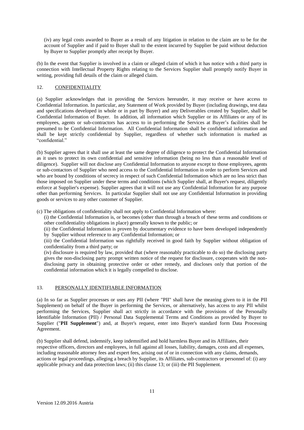(iv) any legal costs awarded to Buyer as a result of any litigation in relation to the claim are to be for the account of Supplier and if paid to Buyer shall to the extent incurred by Supplier be paid without deduction by Buyer to Supplier promptly after receipt by Buyer.

(b) In the event that Supplier is involved in a claim or alleged claim of which it has notice with a third party in connection with Intellectual Property Rights relating to the Services Supplier shall promptly notify Buyer in writing, providing full details of the claim or alleged claim.

#### 12. CONFIDENTIALITY

(a) Supplier acknowledges that in providing the Services hereunder, it may receive or have access to Confidential Information. In particular, any Statement of Work provided by Buyer (including drawings, test data and specifications developed in whole or in part by Buyer) and any Deliverables created by Supplier, shall be Confidential Information of Buyer. In addition, all information which Supplier or its Affiliates or any of its employees, agents or sub-contractors has access to in performing the Services at Buyer's facilities shall be presumed to be Confidential Information. All Confidential Information shall be confidential information and shall be kept strictly confidential by Supplier, regardless of whether such information is marked as "confidential."

(b) Supplier agrees that it shall use at least the same degree of diligence to protect the Confidential Information as it uses to protect its own confidential and sensitive information (being no less than a reasonable level of diligence). Supplier will not disclose any Confidential Information to anyone except to those employees, agents or sub-contactors of Supplier who need access to the Confidential Information in order to perform Services and who are bound by conditions of secrecy in respect of such Confidential Information which are no less strict than those imposed on Supplier under these terms and conditions (which Supplier shall, at Buyer's request, diligently enforce at Supplier's expense). Supplier agrees that it will not use any Confidential Information for any purpose other than performing Services. In particular Supplier shall not use any Confidential Information in providing goods or services to any other customer of Supplier.

(c) The obligations of confidentiality shall not apply to Confidential Information where:

(i) the Confidential Information is, or becomes (other than through a breach of these terms and conditions or other confidentiality obligations in place) generally known to the public; or

(ii) the Confidential Information is proven by documentary evidence to have been developed independently by Supplier without reference to any Confidential Information; or

(iii) the Confidential Information was rightfully received in good faith by Supplier without obligation of confidentiality from a third party; or

(iv) disclosure is required by law, provided that (where reasonably practicable to do so) the disclosing party gives the non-disclosing party prompt written notice of the request for disclosure, cooperates with the nondisclosing party in obtaining protective order or other remedy, and discloses only that portion of the confidential information which it is legally compelled to disclose.

#### 13. PERSONALLY IDENTIFIABLE INFORMATION

(a) In so far as Supplier processes or uses any PII (where "PII" shall have the meaning given to it in the PII Supplement) on behalf of the Buyer in performing the Services, or alternatively, has access to any PII whilst performing the Services, Supplier shall act strictly in accordance with the provisions of the Personally Identifiable Information (PII) / Personal Data Supplemental Terms and Conditions as provided by Buyer to Supplier ("**PII Supplement**") and, at Buyer's request, enter into Buyer's standard form Data Processing Agreement.

(b) Supplier shall defend, indemnify, keep indemnified and hold harmless Buyer and its Affiliates, their respective officers, directors and employees, in full against all losses, liability, damages, costs and all expenses, including reasonable attorney fees and expert fees, arising out of or in connection with any claims, demands, actions or legal proceedings, alleging a breach by Supplier, its Affiliates, sub-contractors or personnel of: (i) any applicable privacy and data protection laws; (ii) this clause 13; or (iii) the PII Supplement.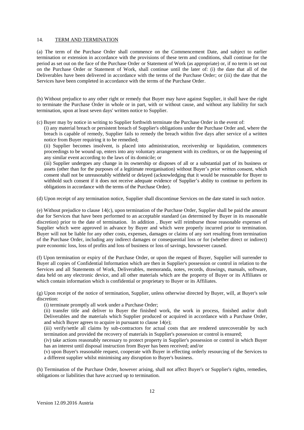#### 14. TERM AND TERMINATION

(a) The term of the Purchase Order shall commence on the Commencement Date, and subject to earlier termination or extension in accordance with the provisions of these term and conditions, shall continue for the period as set out on the face of the Purchase Order or Statement of Work (as appropriate) or, if no term is set out on the Purchase Order or Statement of Work, shall continue until the later of: (i) the date that all of the Deliverables have been delivered in accordance with the terms of the Purchase Order; or (iii) the date that the Services have been completed in accordance with the terms of the Purchase Order.

(b) Without prejudice to any other right or remedy that Buyer may have against Supplier, it shall have the right to terminate the Purchase Order in whole or in part, with or without cause, and without any liability for such termination, upon at least seven days' written notice to Supplier.

(c) Buyer may by notice in writing to Supplier forthwith terminate the Purchase Order in the event of:

(i) any material breach or persistent breach of Supplier's obligations under the Purchase Order and, where the breach is capable of remedy, Supplier fails to remedy the breach within five days after service of a written notice from Buyer requiring it to be remedied;

(ii) Supplier becomes insolvent, is placed into administration, receivership or liquidation, commences proceedings to be wound up, enters into any voluntary arrangement with its creditors, or on the happening of any similar event according to the laws of its domicile; or

(iii) Supplier undergoes any change in its ownership or disposes of all or a substantial part of its business or assets (other than for the purposes of a legitimate reorganisation) without Buyer's prior written consent, which consent shall not be unreasonably withheld or delayed (acknowledging that it would be reasonable for Buyer to withhold such consent if it does not receive adequate evidence of Supplier's ability to continue to perform its obligations in accordance with the terms of the Purchase Order).

(d) Upon receipt of any termination notice, Supplier shall discontinue Services on the date stated in such notice.

(e) Without prejudice to clause 14(c), upon termination of the Purchase Order, Supplier shall be paid the amount due for Services that have been performed to an acceptable standard (as determined by Buyer in its reasonable discretion) prior to the date of termination. In addition , Buyer will reimburse those reasonable expenses of Supplier which were approved in advance by Buyer and which were properly incurred prior to termination. Buyer will not be liable for any other costs, expenses, damages or claims of any sort resulting from termination of the Purchase Order, including any indirect damages or consequential loss or for (whether direct or indirect) pure economic loss, loss of profits and loss of business or loss of savings, howsoever caused.

(f) Upon termination or expiry of the Purchase Order, or upon the request of Buyer, Supplier will surrender to Buyer all copies of Confidential Information which are then in Supplier's possession or control in relation to the Services and all Statements of Work, Deliverables, memoranda, notes, records, drawings, manuals, software, data held on any electronic device, and all other materials which are the property of Buyer or its Affiliates or which contain information which is confidential or proprietary to Buyer or its Affiliates.

(g) Upon receipt of the notice of termination, Supplier, unless otherwise directed by Buyer, will, at Buyer's sole discretion:

(i) terminate promptly all work under a Purchase Order;

(ii) transfer title and deliver to Buyer the finished work, the work in process, finished and/or draft Deliverables and the materials which Supplier produced or acquired in accordance with a Purchase Order, and which Buyer agrees to acquire in pursuant to clause 14(e);

(iii) verify/settle all claims by sub-contractors for actual costs that are rendered unrecoverable by such termination and provided the recovery of materials in Supplier's possession or control is ensured;

(iv) take actions reasonably necessary to protect property in Supplier's possession or control in which Buyer has an interest until disposal instruction from Buyer has been received; and/or

(v) upon Buyer's reasonable request, cooperate with Buyer in effecting orderly resourcing of the Services to a different supplier whilst minimising any disruption to Buyer's business.

(h) Termination of the Purchase Order, however arising, shall not affect Buyer's or Supplier's rights, remedies, obligations or liabilities that have accrued up to termination.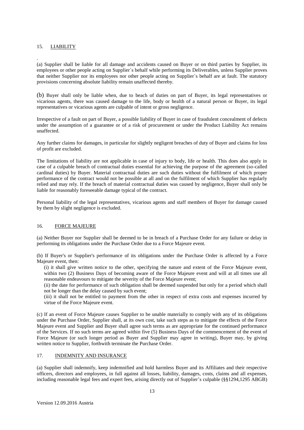#### 15. LIABILITY

. (a) Supplier shall be liable for all damage and accidents caused on Buyer or on third parties by Supplier, its employees or other people acting on Supplier`s behalf while performing its Deliverables, unless Supplier proves that neither Supplier nor its employees nor other people acting on Supplier`s behalf are at fault. The statutory provisions concerning absolute liability remain unaffected thereby.

(b) Buyer shall only be liable when, due to beach of duties on part of Buyer, its legal representatives or vicarious agents, there was caused damage to the life, body or health of a natural person or Buyer, its legal representatives or vicarious agents are culpable of intent or gross negligence.

Irrespective of a fault on part of Buyer, a possible liability of Buyer in case of fraudulent concealment of defects under the assumption of a guarantee or of a risk of procurement or under the Product Liability Act remains unaffected.

Any further claims for damages, in particular for slightly negligent breaches of duty of Buyer and claims for loss of profit are excluded.

The limitations of liability are not applicable in case of injury to body, life or health. This does also apply in case of a culpable breach of contractual duties essential for achieving the purpose of the agreement (so-called cardinal duties) by Buyer. Material contractual duties are such duties without the fulfilment of which proper performance of the contract would not be possible at all and on the fulfilment of which Supplier has regularly relied and may rely. If the breach of material contractual duties was caused by negligence, Buyer shall only be liable for reasonably foreseeable damage typical of the contract.

Personal liability of the legal representatives, vicarious agents and staff members of Buyer for damage caused by them by slight negligence is excluded.

#### 16. FORCE MAJEURE

(a) Neither Buyer nor Supplier shall be deemed to be in breach of a Purchase Order for any failure or delay in performing its obligations under the Purchase Order due to a Force Majeure event.

(b) If Buyer's or Supplier's performance of its obligations under the Purchase Order is affected by a Force Majeure event, then:

(i) it shall give written notice to the other, specifying the nature and extent of the Force Majeure event, within two (2) Business Days of becoming aware of the Force Majeure event and will at all times use all reasonable endeavours to mitigate the severity of the Force Majeure event;

(ii) the date for performance of such obligation shall be deemed suspended but only for a period which shall not be longer than the delay caused by such event;

(iii) it shall not be entitled to payment from the other in respect of extra costs and expenses incurred by virtue of the Force Majeure event.

(c) If an event of Force Majeure causes Supplier to be unable materially to comply with any of its obligations under the Purchase Order, Supplier shall, at its own cost, take such steps as to mitigate the effects of the Force Majeure event and Supplier and Buyer shall agree such terms as are appropriate for the continued performance of the Services. If no such terms are agreed within five (5) Business Days of the commencement of the event of Force Majeure (or such longer period as Buyer and Supplier may agree in writing), Buyer may, by giving written notice to Supplier, forthwith terminate the Purchase Order.

#### 17. INDEMNITY AND INSURANCE

(a) Supplier shall indemnify, keep indemnified and hold harmless Buyer and its Affiliates and their respective officers, directors and employees, in full against all losses, liability, damages, costs, claims and all expenses, including reasonable legal fees and expert fees, arising directly out of Supplier's culpable (§§1294,1295 ABGB)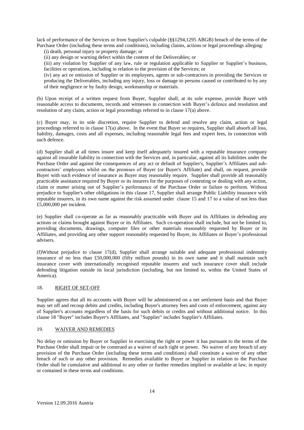lack of performance of the Services or from Supplier's culpable (§§1294,1295 ABGB) breach of the terms of the Purchase Order (including these terms and conditions), including claims, actions or legal proceedings alleging:

(i) death, personal injury or property damage; or

(ii) any design or warning defect within the content of the Deliverables; or

(iii) any violation by Supplier of any law, rule or regulation applicable to Supplier or Supplier's business, facilities or operations, including in relation to the provision of the Services; or

(iv) any act or omission of Supplier or its employees, agents or sub-contractors in providing the Services or producing the Deliverables, including any injury, loss or damage to persons caused or contributed to by any of their negligence or by faulty design, workmanship or materials.

(b) Upon receipt of a written request from Buyer, Supplier shall, at its sole expense, provide Buyer with reasonable access to documents, records and witnesses in connection with Buyer's defence and resolution and resolution of any claim, action or legal proceedings referred to in clause 17(a) above.

(c) Buyer may, in its sole discretion, require Supplier to defend and resolve any claim, action or legal proceedings referred to in clause 17(a) above. In the event that Buyer so requires, Supplier shall absorb all loss, liability, damages, costs and all expenses, including reasonable legal fees and expert fees, in connection with such defence.

(d) Supplier shall at all times insure and keep itself adequately insured with a reputable insurance company against all insurable liability in connection with the Services and, in particular, against all its liabilities under the Purchase Order and against the consequences of any act or default of Supplier's, Supplier's Affiliates and subcontractors' employees whilst on the premises of Buyer (or Buyer's Affiliate) and shall, on request, provide Buyer with such evidence of insurance as Buyer may reasonably require. Supplier shall provide all reasonably practicable assistance required by Buyer or its insurers for the purposes of contesting or dealing with any action, claim or matter arising out of Supplier's performance of the Purchase Order or failure to perform. Without prejudice to Supplier's other obligations in this clause 17, Supplier shall arrange Public Liability insurance with reputable insurers, in its own name against the risk assumed under clause 15 and 17 to a value of not less than £5,000,000 per incident.

(e) Supplier shall co-operate as far as reasonably practicable with Buyer and its Affiliates in defending any actions or claims brought against Buyer or its Affiliates. Such co-operation shall include, but not be limited to, providing documents, drawings, computer files or other materials reasonably requested by Buyer or its Affiliates, and providing any other support reasonably requested by Buyer, its Affiliates or Buyer's professional advisers.

(f)Without prejudice to clause 17(d), Supplier shall arrange suitable and adequate professional indemnity insurance of no less than £50,000,000 (fifty million pounds) in its own name and it shall maintain such insurance cover with internationally recognised reputable insurers and such insurance cover shall include defending litigation outside its local jurisdiction (including, but not limited to, within the United States of America).

#### 18. RIGHT OF SET-OFF

Supplier agrees that all its accounts with Buyer will be administered on a net settlement basis and that Buyer may set off and recoup debits and credits, including Buyer's attorney fees and costs of enforcement, against any of Supplier's accounts regardless of the basis for such debits or credits and without additional notice. In this clause 18 "Buyer" includes Buyer's Affiliates, and "Supplier" includes Supplier's Affiliates.

#### 19. WAIVER AND REMEDIES

No delay or omission by Buyer or Supplier in exercising the right or power it has pursuant to the terms of the Purchase Order shall impair or be construed as a waiver of such right or power. No waiver of any breach of any provision of the Purchase Order (including these terms and conditions) shall constitute a waiver of any other breach of such or any other provision. Remedies available to Buyer or Supplier in relation to the Purchase Order shall be cumulative and additional to any other or further remedies implied or available at law, in equity or contained in these terms and conditions.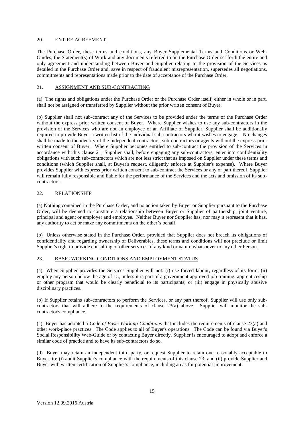#### 20. ENTIRE AGREEMENT

The Purchase Order, these terms and conditions, any Buyer Supplemental Terms and Conditions or Web-Guides, the Statement(s) of Work and any documents referred to on the Purchase Order set forth the entire and only agreement and understanding between Buyer and Supplier relating to the provision of the Services as detailed in the Purchase Order and, save in respect of fraudulent misrepresentation, supersedes all negotiations, commitments and representations made prior to the date of acceptance of the Purchase Order.

#### 21. ASSIGNMENT AND SUB-CONTRACTING

(a) The rights and obligations under the Purchase Order or the Purchase Order itself, either in whole or in part, shall not be assigned or transferred by Supplier without the prior written consent of Buyer.

(b) Supplier shall not sub-contract any of the Services to be provided under the terms of the Purchase Order without the express prior written consent of Buyer. Where Supplier wishes to use any sub-contractors in the provision of the Services who are not an employee of an Affiliate of Supplier, Supplier shall be additionally required to provide Buyer a written list of the individual sub-contractors who it wishes to engage. No changes shall be made to the identity of the independent contractors, sub-contractors or agents without the express prior written consent of Buyer. Where Supplier becomes entitled to sub-contract the provision of the Services in accordance with this clause 21, Supplier shall, before engaging any sub-contractors, enter into confidentiality obligations with such sub-contractors which are not less strict that as imposed on Supplier under these terms and conditions (which Supplier shall, at Buyer's request, diligently enforce at Supplier's expense). Where Buyer provides Supplier with express prior written consent to sub-contract the Services or any or part thereof, Supplier will remain fully responsible and liable for the performance of the Services and the acts and omission of its subcontractors.

#### 22. RELATIONSHIP

(a) Nothing contained in the Purchase Order, and no action taken by Buyer or Supplier pursuant to the Purchase Order, will be deemed to constitute a relationship between Buyer or Supplier of partnership, joint venture, principal and agent or employer and employee. Neither Buyer nor Supplier has, nor may it represent that it has, any authority to act or make any commitments on the other's behalf.

(b) Unless otherwise stated in the Purchase Order, provided that Supplier does not breach its obligations of confidentiality and regarding ownership of Deliverables, these terms and conditions will not preclude or limit Supplier's right to provide consulting or other services of any kind or nature whatsoever to any other Person.

#### 23. BASIC WORKING CONDITIONS AND EMPLOYMENT STATUS

(a) When Supplier provides the Services Supplier will not: (i) use forced labour, regardless of its form; (ii) employ any person below the age of 15, unless it is part of a government approved job training, apprenticeship or other program that would be clearly beneficial to its participants; or (iii) engage in physically abusive disciplinary practices.

(b) If Supplier retains sub-contractors to perform the Services, or any part thereof, Supplier will use only subcontractors that will adhere to the requirements of clause 23(a) above. Supplier will monitor the subcontractor's compliance.

(c) Buyer has adopted a *Code of Basic Working Conditions* that includes the requirements of clause 23(a) and other work-place practices. The Code applies to all of Buyer's operations. The Code can be found via Buyer's Social Responsibility Web-Guide or by contacting Buyer directly. Supplier is encouraged to adopt and enforce a similar code of practice and to have its sub-contractors do so.

(d) Buyer may retain an independent third party, or request Supplier to retain one reasonably acceptable to Buyer, to: (i) audit Supplier's compliance with the requirements of this clause 23; and (ii) provide Supplier and Buyer with written certification of Supplier's compliance, including areas for potential improvement.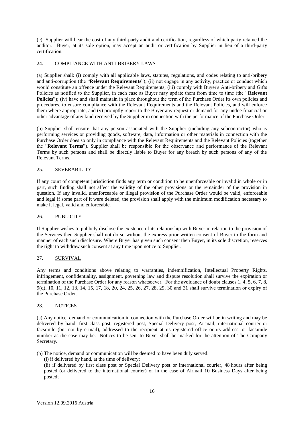(e) Supplier will bear the cost of any third-party audit and certification, regardless of which party retained the auditor. Buyer, at its sole option, may accept an audit or certification by Supplier in lieu of a third-party certification.

#### 24. COMPLIANCE WITH ANTI-BRIBERY LAWS

(a) Supplier shall: (i) comply with all applicable laws, statutes, regulations, and codes relating to anti-bribery and anti-corruption (the "**Relevant Requirements**"); (ii) not engage in any activity, practice or conduct which would constitute an offence under the Relevant Requirements; (iii) comply with Buyer's Anti-bribery and Gifts Policies as notified to the Supplier, in each case as Buyer may update them from time to time (the "**Relevant Policies**"); (iv) have and shall maintain in place throughout the term of the Purchase Order its own policies and procedures, to ensure compliance with the Relevant Requirements and the Relevant Policies, and will enforce them where appropriate; and (v) promptly report to the Buyer any request or demand for any undue financial or other advantage of any kind received by the Supplier in connection with the performance of the Purchase Order.

(b) Supplier shall ensure that any person associated with the Supplier (including any subcontractor) who is performing services or providing goods, software, data, information or other materials in connection with the Purchase Order does so only in compliance with the Relevant Requirements and the Relevant Policies (together the "**Relevant Terms**"). Supplier shall be responsible for the observance and performance of the Relevant Terms by such persons and shall be directly liable to Buyer for any breach by such persons of any of the Relevant Terms.

#### 25. SEVERABILITY

If any court of competent jurisdiction finds any term or condition to be unenforceable or invalid in whole or in part, such finding shall not affect the validity of the other provisions or the remainder of the provision in question. If any invalid, unenforceable or illegal provision of the Purchase Order would be valid, enforceable and legal if some part of it were deleted, the provision shall apply with the minimum modification necessary to make it legal, valid and enforceable.

#### 26. PUBLICITY

If Supplier wishes to publicly disclose the existence of its relationship with Buyer in relation to the provision of the Services then Supplier shall not do so without the express prior written consent of Buyer to the form and manner of each such disclosure. Where Buyer has given such consent then Buyer, in its sole discretion, reserves the right to withdraw such consent at any time upon notice to Supplier.

#### 27. SURVIVAL

Any terms and conditions above relating to warranties, indemnification, Intellectual Property Rights, infringement, confidentiality, assignment, governing law and dispute resolution shall survive the expiration or termination of the Purchase Order for any reason whatsoever. For the avoidance of doubt clauses 1, 4, 5, 6, 7, 8, 9(d), 10, 11, 12, 13, 14, 15, 17, 18, 20, 24, 25, 26, 27, 28, 29, 30 and 31 shall survive termination or expiry of the Purchase Order.

#### 28. NOTICES

(a) Any notice, demand or communication in connection with the Purchase Order will be in writing and may be delivered by hand, first class post, registered post, Special Delivery post, Airmail, international courier or facsimile (but not by e-mail), addressed to the recipient at its registered office or its address, or facsimile number as the case may be. Notices to be sent to Buyer shall be marked for the attention of The Company Secretary.

(b) The notice, demand or communication will be deemed to have been duly served:

(i) if delivered by hand, at the time of delivery;

(ii) if delivered by first class post or Special Delivery post or international courier, 48 hours after being posted (or delivered to the international courier) or in the case of Airmail 10 Business Days after being posted;